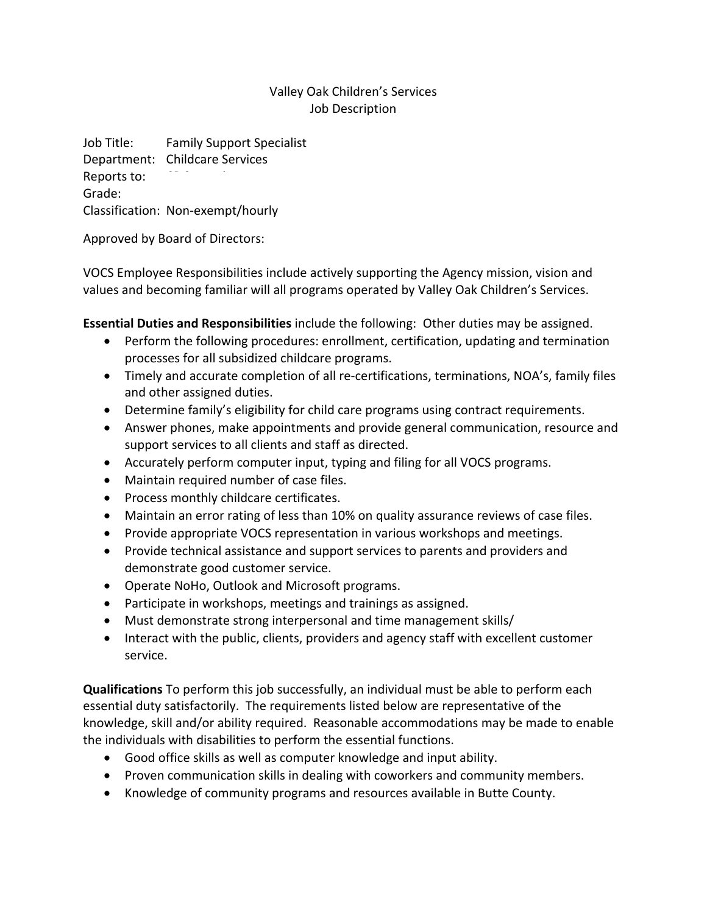## Valley Oak Children's Services Job Description

Job Title: Family Support Specialist Department: Childcare Services Reports to: Grade: Classification: Non‐exempt/hourly

Approved by Board of Directors:

VOCS Employee Responsibilities include actively supporting the Agency mission, vision and values and becoming familiar will all programs operated by Valley Oak Children's Services.

**Essential Duties and Responsibilities** include the following: Other duties may be assigned.

- Perform the following procedures: enrollment, certification, updating and termination processes for all subsidized childcare programs.
- Timely and accurate completion of all re-certifications, terminations, NOA's, family files and other assigned duties.
- Determine family's eligibility for child care programs using contract requirements.
- Answer phones, make appointments and provide general communication, resource and support services to all clients and staff as directed.
- Accurately perform computer input, typing and filing for all VOCS programs.
- Maintain required number of case files.
- Process monthly childcare certificates.
- Maintain an error rating of less than 10% on quality assurance reviews of case files.
- Provide appropriate VOCS representation in various workshops and meetings.
- Provide technical assistance and support services to parents and providers and demonstrate good customer service.
- Operate NoHo, Outlook and Microsoft programs.
- Participate in workshops, meetings and trainings as assigned.
- Must demonstrate strong interpersonal and time management skills/
- Interact with the public, clients, providers and agency staff with excellent customer service.

**Qualifications** To perform this job successfully, an individual must be able to perform each essential duty satisfactorily. The requirements listed below are representative of the knowledge, skill and/or ability required. Reasonable accommodations may be made to enable the individuals with disabilities to perform the essential functions.

- Good office skills as well as computer knowledge and input ability.
- Proven communication skills in dealing with coworkers and community members.
- Knowledge of community programs and resources available in Butte County.